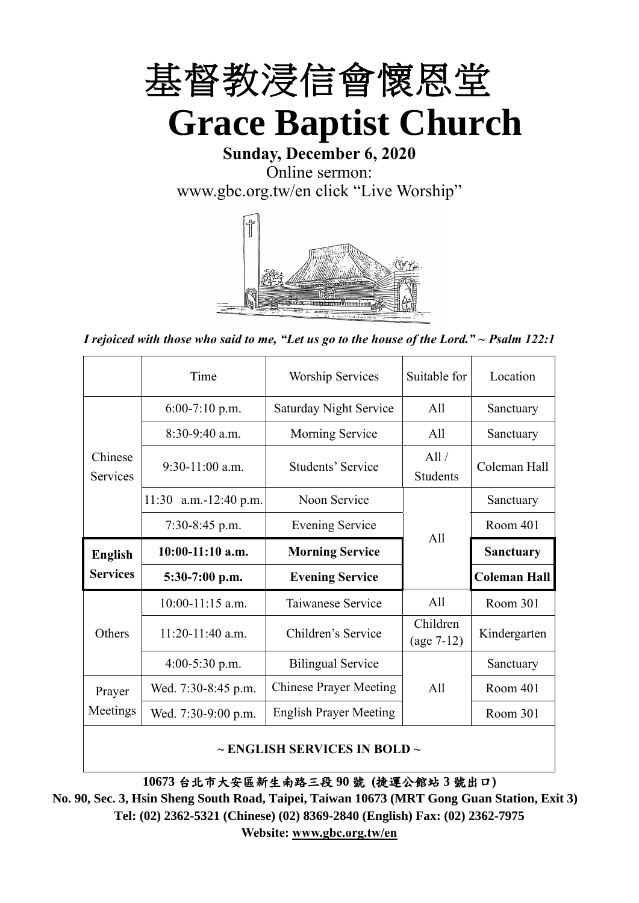

**Sunday, December 6, 2020** Online sermon: [www.gbc.org.tw/en](http://www.gbc.org.tw/en) click "Live Worship"



*I rejoiced with those who said to me, "Let us go to the house of the Lord." ~ Psalm 122:1*

|                            | Time                                          | <b>Worship Services</b>       | Suitable for             | Location            |
|----------------------------|-----------------------------------------------|-------------------------------|--------------------------|---------------------|
|                            | $6:00-7:10$ p.m.                              | <b>Saturday Night Service</b> | A11                      | Sanctuary           |
|                            | $8:30-9:40$ a.m.                              | Morning Service               | All                      | Sanctuary           |
| Chinese<br><b>Services</b> | $9:30-11:00$ a.m.<br><b>Students' Service</b> |                               | All /<br><b>Students</b> | Coleman Hall        |
|                            | 11:30 a.m.-12:40 p.m.                         | Noon Service                  |                          | Sanctuary           |
|                            | $7:30-8:45$ p.m.                              | <b>Evening Service</b><br>All |                          | Room 401            |
|                            |                                               |                               |                          |                     |
| <b>English</b>             | $10:00-11:10$ a.m.                            | <b>Morning Service</b>        |                          | <b>Sanctuary</b>    |
| <b>Services</b>            | $5:30-7:00$ p.m.                              | <b>Evening Service</b>        |                          | <b>Coleman Hall</b> |
|                            | $10:00-11:15$ a.m.                            | Taiwanese Service             | All                      | Room 301            |
| Others                     | $11:20-11:40$ a.m.                            | Children's Service            | Children<br>$(age 7-12)$ | Kindergarten        |
|                            | $4:00-5:30$ p.m.                              | <b>Bilingual Service</b>      |                          | Sanctuary           |
| Prayer                     | Wed. 7:30-8:45 p.m.                           | <b>Chinese Prayer Meeting</b> | A11                      | Room 401            |
| Meetings                   | Wed. 7:30-9:00 p.m.                           | <b>English Prayer Meeting</b> |                          | Room 301            |

#### **~ ENGLISH SERVICES IN BOLD ~**

**10673** 台北市大安區新生南路三段 **90** 號 **(**捷運公館站 **3** 號出口**)**

**No. 90, Sec. 3, Hsin Sheng South Road, Taipei, Taiwan 10673 (MRT Gong Guan Station, Exit 3) Tel: (02) 2362-5321 (Chinese) (02) 8369-2840 (English) Fax: (02) 2362-7975 Website: [www.gbc.org.tw/en](http://www.gbc.org.tw/en)**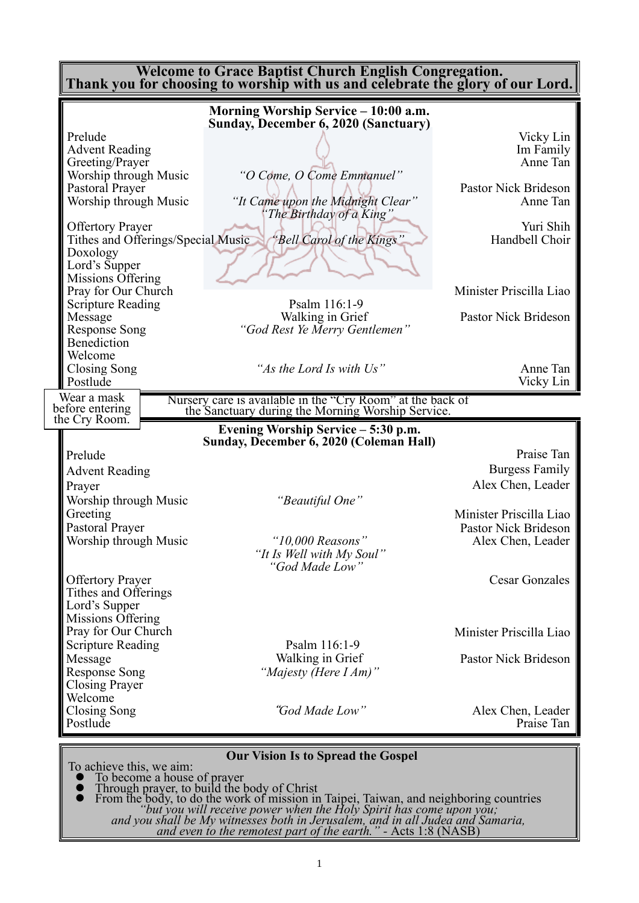| <b>Welcome to Grace Baptist Church English Congregation.</b><br>Thank you for choosing to worship with us and celebrate the glory of our Lord. |                                                                                                                 |                                           |  |  |
|------------------------------------------------------------------------------------------------------------------------------------------------|-----------------------------------------------------------------------------------------------------------------|-------------------------------------------|--|--|
|                                                                                                                                                | Morning Worship Service - 10:00 a.m.<br>Sunday, December 6, 2020 (Sanctuary)                                    |                                           |  |  |
| Prelude<br><b>Advent Reading</b><br>Greeting/Prayer                                                                                            |                                                                                                                 | Vicky Lin<br>Im Family<br>Anne Tan        |  |  |
| Worship through Music<br>Pastoral Prayer<br>Worship through Music                                                                              | "O Come, O Come Emmanuel"<br>"It Came upon the Midnight Clear"<br>"The Birthday of a King"                      | Pastor Nick Brideson<br>Anne Tan          |  |  |
| <b>Offertory Prayer</b><br>Tithes and Offerings/Special Music<br>Doxology                                                                      | "Bell Carol of the Kings"                                                                                       | Yuri Shih<br>Handbell Choir               |  |  |
| Lord's Supper<br>Missions Offering<br>Pray for Our Church<br><b>Scripture Reading</b>                                                          | Psalm 116:1-9                                                                                                   | Minister Priscilla Liao                   |  |  |
| Message<br><b>Response Song</b><br><b>Benediction</b>                                                                                          | Walking in Grief<br>"God Rest Ye Merry Gentlemen"                                                               | Pastor Nick Brideson                      |  |  |
| Welcome<br><b>Closing Song</b><br>Postlude                                                                                                     | "As the Lord Is with Us"                                                                                        | Anne Tan<br>Vicky Lin                     |  |  |
| Wear a mask<br>before entering                                                                                                                 | Nursery care is available in the "Cry Room" at the back of<br>the Sanctuary during the Morning Worship Service. |                                           |  |  |
| the Cry Room.                                                                                                                                  | Evening Worship Service - 5:30 p.m.<br>Sunday, December 6, 2020 (Coleman Hall)                                  |                                           |  |  |
| Prelude                                                                                                                                        |                                                                                                                 | Praise Tan                                |  |  |
| <b>Advent Reading</b>                                                                                                                          |                                                                                                                 | <b>Burgess Family</b>                     |  |  |
| Prayer                                                                                                                                         |                                                                                                                 | Alex Chen, Leader                         |  |  |
| Worship through Music                                                                                                                          | "Beautiful One"                                                                                                 |                                           |  |  |
| Greeting                                                                                                                                       |                                                                                                                 | Minister Priscilla Liao                   |  |  |
| Pastoral Prayer<br>Worship through Music                                                                                                       | "10,000 Reasons"<br>"It Is Well with My Soul"<br>"God Made Low"                                                 | Pastor Nick Brideson<br>Alex Chen, Leader |  |  |
| <b>Offertory Prayer</b><br>Tithes and Offerings<br>Lord's Supper<br>Missions Offering                                                          |                                                                                                                 | <b>Cesar Gonzales</b>                     |  |  |
| Pray for Our Church                                                                                                                            |                                                                                                                 | Minister Priscilla Liao                   |  |  |
| <b>Scripture Reading</b><br>Message<br><b>Response Song</b><br><b>Closing Prayer</b><br>Welcome                                                | Psalm 116:1-9<br>Walking in Grief<br>"Majesty (Here I Am)"                                                      | Pastor Nick Brideson                      |  |  |
| <b>Closing Song</b><br>Postlude                                                                                                                | "God Made Low"                                                                                                  | Alex Chen, Leader<br>Praise Tan           |  |  |

#### **Our Vision Is to Spread the Gospel**

To achieve this, we aim:

- ⚫ To become a house of prayer ⚫ Through prayer, to build the body of Christ
- ⚫ From the body, to do the work of mission in Taipei, Taiwan, and neighboring countries *"but you will receive power when the Holy Spirit has come upon you; and you shall be My witnesses both in Jerusalem, and in all Judea and Samaria, and even to the remotest part of the earth." -* Acts 1:8 (NASB)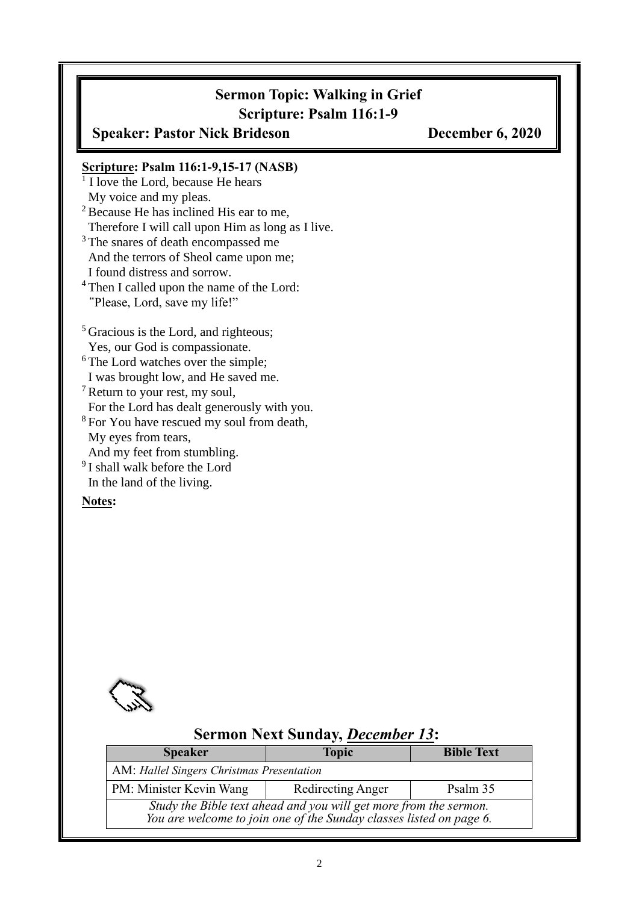## **Sermon Topic: Walking in Grief Scripture: Psalm 116:1-9**

**Speaker: Pastor Nick Brideson December 6, 2020**

### **Scripture: Psalm 116:1-9,15-17 (NASB)**

<sup>1</sup> I love the Lord, because He hears My voice and my pleas. <sup>2</sup> Because He has inclined His ear to me,

Therefore I will call upon Him as long as I live.

<sup>3</sup>The snares of death encompassed me And the terrors of Sheol came upon me; I found distress and sorrow.

<sup>4</sup>Then I called upon the name of the Lord: "Please, Lord, save my life!"

<sup>5</sup> Gracious is the Lord, and righteous; Yes, our God is compassionate.

 $6$ The Lord watches over the simple; I was brought low, and He saved me.

<sup>7</sup>Return to your rest, my soul, For the Lord has dealt generously with you.

<sup>8</sup>For You have rescued my soul from death, My eyes from tears, And my feet from stumbling.

<sup>9</sup>I shall walk before the Lord

In the land of the living.

**Notes:**



### **Sermon Next Sunday,** *December 13***: Speaker Topic Bible Text** AM: *Hallel Singers Christmas Presentation* PM: Minister Kevin Wang Redirecting Anger Psalm 35 *Study the Bible text ahead and you will get more from the sermon. You are welcome to join one of the Sunday classes listed on page 6.*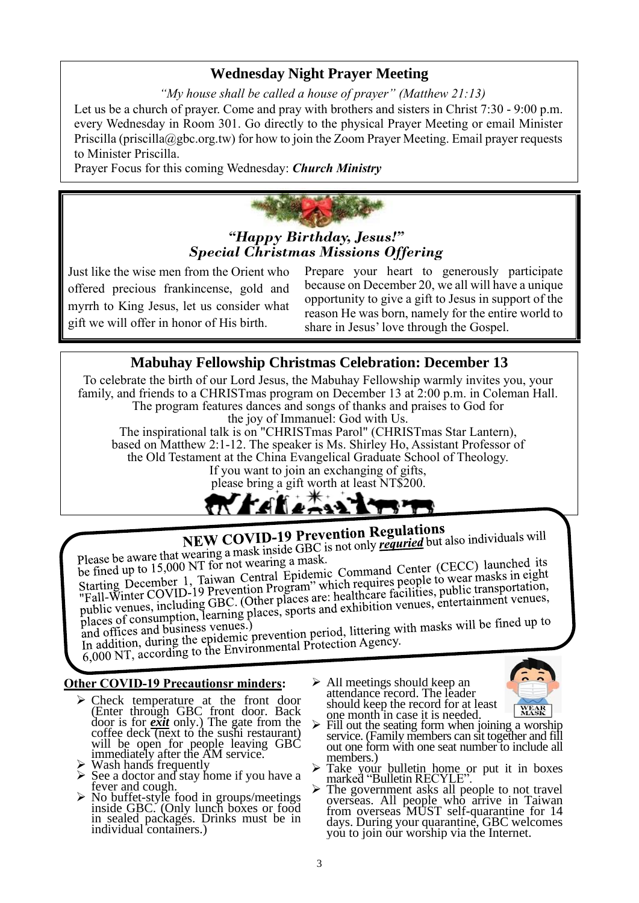### **Wednesday Night Prayer Meeting**

*"My house shall be called a house of prayer" (Matthew 21:13)*

Let us be a church of prayer. Come and pray with brothers and sisters in Christ 7:30 - 9:00 p.m. every Wednesday in Room 301. Go directly to the physical Prayer Meeting or email Minister Priscilla (priscilla@gbc.org.tw) for how to join the Zoom Prayer Meeting. Email prayer requests to Minister Priscilla.

Prayer Focus for this coming Wednesday: *Church Ministry*



Just like the wise men from the Orient who offered precious frankincense, gold and myrrh to King Jesus, let us consider what gift we will offer in honor of His birth.

Prepare your heart to generously participate because on December 20, we all will have a unique opportunity to give a gift to Jesus in support of the reason He was born, namely for the entire world to share in Jesus' love through the Gospel.

## **Mabuhay Fellowship Christmas Celebration: December 13**

To celebrate the birth of our Lord Jesus, the Mabuhay Fellowship warmly invites you, your family, and friends to a CHRISTmas program on December 13 at 2:00 p.m. in Coleman Hall. The program features dances and songs of thanks and praises to God for the joy of Immanuel: God with Us.

The inspirational talk is on "CHRISTmas Parol" (CHRISTmas Star Lantern), based on Matthew 2:1-12. The speaker is Ms. Shirley Ho, Assistant Professor of the Old Testament at the China Evangelical Graduate School of Theology.

If you want to join an exchanging of gifts, please bring a gift worth at least NT\$200.



# **NEW COVID-19 Prevention Regulations**

**NEW COVID-19 Prevention Regulations**<br>Please be aware that wearing a mask inside GBC is not only *requried* but also individuals will<br>lease be aware that wearing a mask inside GBC is not only *requried* but also individual

Please be aware that wearing a mask inside GBC and the set of the fined up to 15,000 NT for not wearing a mask.<br>Starting December 1, Taiwan Central Epidemic Command Center (CECC) launched its<br>Starting December 1, Taiwan Ce Please be aware that wearing a mask inside SBS.<br>be fined up to 15,000 NT for not wearing a mask. Starting December 1, Taiwan Central Epideline Commany<br>
"Fall-Winter COVID-19 Prevention Program" which requires people to wear masks in eight<br>
"Fall-Winter COVID-19 Prevention Program" which requires people to wear masks i

places of consumption, learning places, sports and exhibition (i.e., and places of consumption, learning places, sports and exhibition (i.e., and offices and business venues.)<br>In addition, during the epidemic prevention pe In addition, during the epidemic prevention period, intering to<br>6,000 NT, according to the Environmental Protection Agency.

#### **Other COVID-19 Precautionsr minders:**

- ➢ Check temperature at the front door (Enter through GBC front door. Back door is for *exit* only.) The gate from the coffee deck  $\overline{(next)}$  to the sushi restaurant) will be open for people leaving GBC immediately after the AM service.
- ➢ Wash hands frequently
- ➢ See a doctor and stay home if you have a fever and cough.
- ➢ No buffet-style food in groups/meetings inside GBC. (Only lunch boxes or food in sealed packages. Drinks must be in individual containers.)
- ➢ All meetings should keep an attendance record. The leader should keep the record for at least one month in case it is needed.



- $\triangleright$  Fill out the seating form when joining a worship service. (Family members can sit together and fill out one form with one seat number to include all members.)
- ➢ Take your bulletin home or put it in boxes marked "Bulletin RECYLE".
- ➢ The government asks all people to not travel overseas. All people who arrive in Taiwan from overseas MUST self-quarantine for 14 days. During your quarantine, GBC welcomes you to join our worship via the Internet.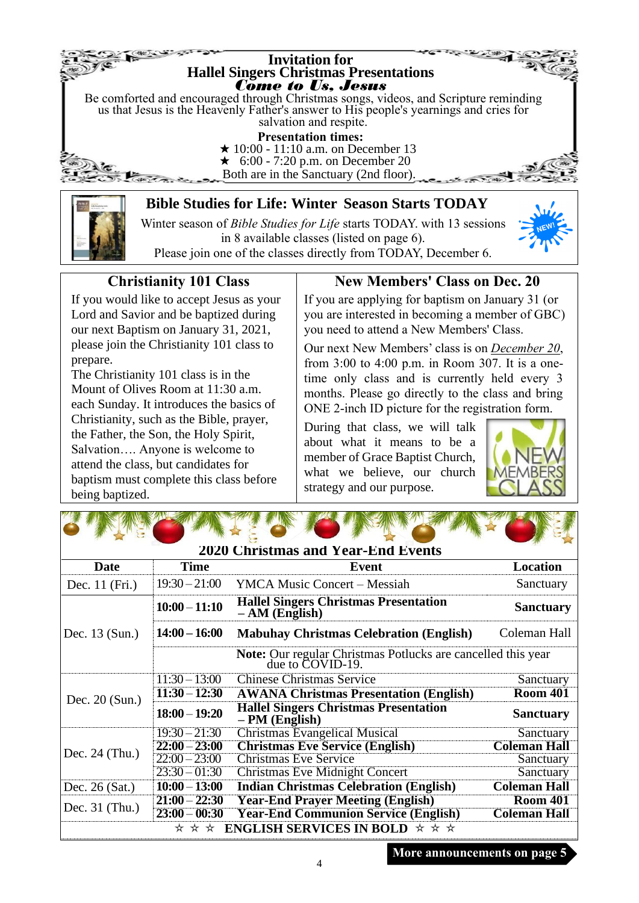

Winter season of *Bible Studies for Life* starts TODAY. with 13 sessions in 8 available classes (listed on page 6). Please join one of the classes directly from TODAY, December 6.



# **Christianity 101 Class**

If you would like to accept Jesus as your Lord and Savior and be baptized during our next Baptism on January 31, 2021, please join the Christianity 101 class to prepare.

The Christianity 101 class is in the Mount of Olives Room at 11:30 a.m. each Sunday. It introduces the basics of Christianity, such as the Bible, prayer, the Father, the Son, the Holy Spirit, Salvation…. Anyone is welcome to attend the class, but candidates for baptism must complete this class before being baptized.

The state of the South War

# **New Members' Class on Dec. 20**

If you are applying for baptism on January 31 (or you are interested in becoming a member of GBC) you need to attend a New Members' Class.

Our next New Members' class is on *December 20*, from 3:00 to 4:00 p.m. in Room 307. It is a onetime only class and is currently held every 3 months. Please go directly to the class and bring ONE 2-inch ID picture for the registration form.

During that class, we will talk about what it means to be a member of Grace Baptist Church, what we believe, our church strategy and our purpose.



| <b>2020 Christmas and Year-End Events</b>                    |                                                                                      |                                                                  |                     |  |  |
|--------------------------------------------------------------|--------------------------------------------------------------------------------------|------------------------------------------------------------------|---------------------|--|--|
| Date                                                         | <b>Time</b>                                                                          | Event                                                            | <b>Location</b>     |  |  |
| Dec. 11 (Fri.)                                               | $19:30 - 21:00$                                                                      | <b>YMCA Music Concert – Messiah</b>                              | Sanctuary           |  |  |
|                                                              | $10:00 - 11:10$                                                                      | <b>Hallel Singers Christmas Presentation</b><br>$- AM$ (English) | <b>Sanctuary</b>    |  |  |
| Dec. 13 (Sun.)                                               | $14:00 - 16:00$                                                                      | <b>Mabuhay Christmas Celebration (English)</b>                   | Coleman Hall        |  |  |
|                                                              | <b>Note:</b> Our regular Christmas Potlucks are cancelled this year due to COVID-19. |                                                                  |                     |  |  |
|                                                              | $11:30 - 13:00$                                                                      | <b>Chinese Christmas Service</b>                                 | Sanctuary           |  |  |
| Dec. $20$ (Sun.)                                             | $11:30 - 12:30$                                                                      | <b>AWANA Christmas Presentation (English)</b>                    | <b>Room 401</b>     |  |  |
|                                                              | $18:00 - 19:20$                                                                      | <b>Hallel Singers Christmas Presentation</b><br>$-PM$ (English)  | <b>Sanctuary</b>    |  |  |
|                                                              | $19:30 - 21:30$                                                                      | <b>Christmas Evangelical Musical</b>                             | Sanctuary           |  |  |
| Dec. $24$ (Thu.)                                             | $22:00 - 23:00$                                                                      | <b>Christmas Eve Service (English)</b>                           | <b>Coleman Hall</b> |  |  |
|                                                              | $22:00 - 23:00$                                                                      | <b>Christmas Eve Service</b>                                     | Sanctuary           |  |  |
|                                                              | $23:30 - 01:30$                                                                      | <b>Christmas Eve Midnight Concert</b>                            | Sanctuary           |  |  |
| Dec. $26$ (Sat.)                                             | $10:00 - 13:00$                                                                      | <b>Indian Christmas Celebration (English)</b>                    | <b>Coleman Hall</b> |  |  |
|                                                              | $21:00 - 22:30$                                                                      | <b>Year-End Prayer Meeting (English)</b>                         | <b>Room 401</b>     |  |  |
| Dec. $31$ (Thu.)                                             | $23:00 - 00:30$                                                                      | <b>Year-End Communion Service (English)</b>                      | <b>Coleman Hall</b> |  |  |
| <b>ENGLISH SERVICES IN BOLD</b> $\star \star \star$<br>* * * |                                                                                      |                                                                  |                     |  |  |

**More announcements on page 5**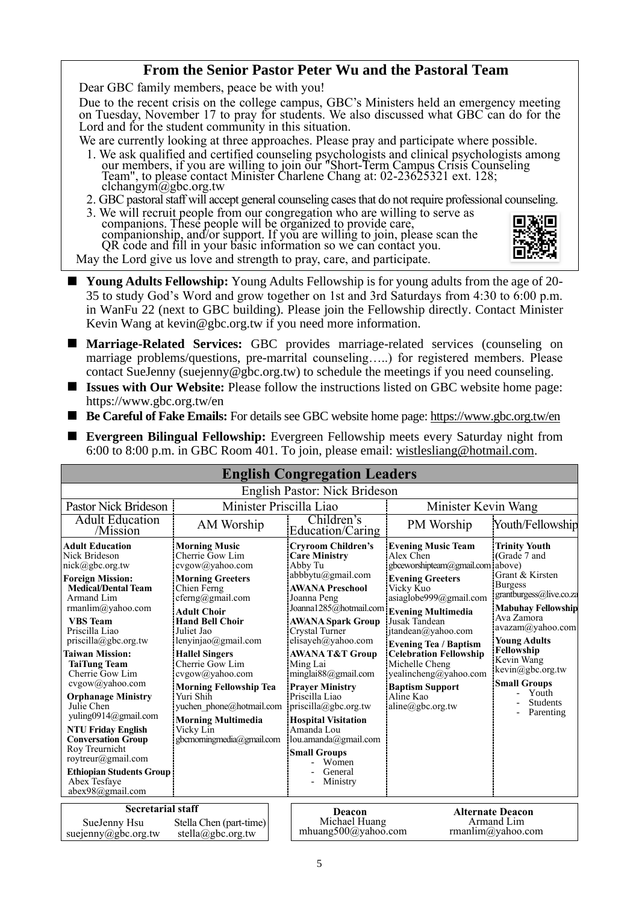#### **From the Senior Pastor Peter Wu and the Pastoral Team**

Dear GBC family members, peace be with you!

Due to the recent crisis on the college campus, GBC's Ministers held an emergency meeting on Tuesday, November 17 to pray for students. We also discussed what GBC can do for the Lord and for the student community in this situation.

We are currently looking at three approaches. Please pray and participate where possible.

- 1. We ask qualified and certified counseling psychologists and clinical psychologists among our members, if you are willing to join our "Short-Term Campus Crisis Counseling Team", to please contact Minister Charlene Chang at: 02-23625321 ext. 128; clchangym@gbc.org.tw
- 2. GBC pastoral staff will accept general counseling cases that do not require professional counseling.
- 3. We will recruit people from our congregation who are willing to serve as companions. These people will be organized to provide care, companionship, and/or support. If you are willing to join, please scan the QR code and fill in your basic information so we can contact you.



May the Lord give us love and strength to pray, care, and participate.

- Young Adults Fellowship: Young Adults Fellowship is for young adults from the age of 20-35 to study God's Word and grow together on 1st and 3rd Saturdays from 4:30 to 6:00 p.m. in WanFu 22 (next to GBC building). Please join the Fellowship directly. Contact Minister Kevin Wang at kevin@gbc.org.tw if you need more information.
- Marriage-Related Services: GBC provides marriage-related services (counseling on marriage problems/questions, pre-marrital counseling…..) for registered members. Please contact SueJenny (suejenny@gbc.org.tw) to schedule the meetings if you need counseling.
- **Issues with Our Website:** Please follow the instructions listed on GBC website home page: https://www.gbc.org.tw/en
- **Be Careful of Fake Emails:** For details see GBC website home page:<https://www.gbc.org.tw/en>
- **Evergreen Bilingual Fellowship:** Evergreen Fellowship meets every Saturday night from 6:00 to 8:00 p.m. in GBC Room 401. To join, please email: [wistlesliang@hotmail.com.](mailto:wistlesliang@hotmail.com)

|                                                                                                                                                                                                                                                                                                                                                                                                                                                                                                                                                                            |                                                                                                                                                                                                                                                                                                                                                                                                                        | <b>English Congregation Leaders</b>                                                                                                                                                                                                                                                                                                                                                                                                                                                                                         |                                                                                                                                                                                                                                                                                                                                                                 |                                                                                                                                                                                                                                                                                                            |
|----------------------------------------------------------------------------------------------------------------------------------------------------------------------------------------------------------------------------------------------------------------------------------------------------------------------------------------------------------------------------------------------------------------------------------------------------------------------------------------------------------------------------------------------------------------------------|------------------------------------------------------------------------------------------------------------------------------------------------------------------------------------------------------------------------------------------------------------------------------------------------------------------------------------------------------------------------------------------------------------------------|-----------------------------------------------------------------------------------------------------------------------------------------------------------------------------------------------------------------------------------------------------------------------------------------------------------------------------------------------------------------------------------------------------------------------------------------------------------------------------------------------------------------------------|-----------------------------------------------------------------------------------------------------------------------------------------------------------------------------------------------------------------------------------------------------------------------------------------------------------------------------------------------------------------|------------------------------------------------------------------------------------------------------------------------------------------------------------------------------------------------------------------------------------------------------------------------------------------------------------|
|                                                                                                                                                                                                                                                                                                                                                                                                                                                                                                                                                                            |                                                                                                                                                                                                                                                                                                                                                                                                                        | English Pastor: Nick Brideson                                                                                                                                                                                                                                                                                                                                                                                                                                                                                               |                                                                                                                                                                                                                                                                                                                                                                 |                                                                                                                                                                                                                                                                                                            |
| Minister Priscilla Liao<br>Pastor Nick Brideson                                                                                                                                                                                                                                                                                                                                                                                                                                                                                                                            |                                                                                                                                                                                                                                                                                                                                                                                                                        |                                                                                                                                                                                                                                                                                                                                                                                                                                                                                                                             | Minister Kevin Wang                                                                                                                                                                                                                                                                                                                                             |                                                                                                                                                                                                                                                                                                            |
| <b>Adult Education</b><br>/Mission                                                                                                                                                                                                                                                                                                                                                                                                                                                                                                                                         | Children's<br>AM Worship<br>Education/Caring                                                                                                                                                                                                                                                                                                                                                                           |                                                                                                                                                                                                                                                                                                                                                                                                                                                                                                                             | PM Worship                                                                                                                                                                                                                                                                                                                                                      | Youth/Fellowship                                                                                                                                                                                                                                                                                           |
| <b>Adult Education</b><br>Nick Brideson<br>$nick(\widehat{a})$ gbc.org.tw<br><b>Foreign Mission:</b><br><b>Medical/Dental Team</b><br>Armand Lim<br>rmanlim@yahoo.com<br><b>VBS</b> Team<br>Priscilla Liao<br>$priscilla(\partial gbc.org.tw)$<br>Taiwan Mission:<br><b>TaiTung Team</b><br>Cherrie Gow Lim<br>cvgow@yahoo.com<br><b>Orphanage Ministry</b><br>Julie Chen<br>yuling0914@gmail.com<br><b>NTU Friday English</b><br><b>Conversation Group</b><br>Roy Treurnicht<br>roytreur@gmail.com<br><b>Ethiopian Students Group</b><br>Abex Tesfave<br>abex98@gmail.com | <b>Morning Music</b><br>Cherrie Gow Lim<br>cvgow@yahoo.com<br><b>Morning Greeters</b><br>Chien Ferng<br>cferng@gmail.com<br>Adult Choir<br><b>Hand Bell Choir</b><br>Juliet Jao<br>lenyinjao@gmail.com<br><b>Hallel Singers</b><br>Cherrie Gow Lim<br>cvgow@yahoo.com<br><b>Morning Fellowship Tea</b><br>Yuri Shih<br>yuchen phone@hotmail.com<br><b>Morning Multimedia</b><br>Vicky Lin<br>gbcmorningmedia@gmail.com | <b>Cryroom Children's</b><br><b>Care Ministry</b><br>Abby Tu<br>abbbytu@gmail.com<br><b>AWANA Preschool</b><br>Joanna Peng<br>Joanna1285@hotmail.com Evening Multimedia<br><b>AWANA Spark Group</b><br>Crystal Turner<br>elisayeh@yahoo.com<br><b>AWANA T&amp;T Group</b><br>Ming Lai<br>minglai $88$ @gmail.com<br><b>Prayer Ministry</b><br>Priscilla Liao<br>$priscilla(\partial gbc.org.tw)$<br><b>Hospital Visitation</b><br>Amanda Lou<br>lou.amanda@gmail.com<br><b>Small Groups</b><br>Women<br>General<br>Ministry | <b>Evening Music Team</b><br>Alex Chen<br>gbceworshipteam@gmail.com above)<br><b>Evening Greeters</b><br>Vicky Kuo<br>asiaglobe999@gmail.com<br>Jusak Tandean<br>jtandean@yahoo.com<br><b>Evening Tea / Baptism</b><br><b>Celebration Fellowship</b><br>Michelle Cheng<br>yealincheng@yahoo.com<br><b>Baptism Support</b><br>Aline Kao<br>$aline(a)$ gbc.org.tw | <b>Trinity Youth</b><br>(Grade 7 and<br>Grant & Kirsten<br><b>Burgess</b><br>grantburgess@live.co.za<br><b>Mabuhay Fellowship</b><br>Ava Zamora<br>avazam@yahoo.com<br><b>Young Adults</b><br>Fellowship<br>Kevin Wang<br>kevin@gbc.org.tw<br><b>Small Groups</b><br>Youth<br><b>Students</b><br>Parenting |
| <b>Secretarial staff</b><br>SueJenny Hsu<br>Stella Chen (part-time)<br>suejenny@gbc.org.tw<br>stella@gbc.org.tw                                                                                                                                                                                                                                                                                                                                                                                                                                                            |                                                                                                                                                                                                                                                                                                                                                                                                                        | Deacon<br>Michael Huang<br>mhuang500@yahoo.com                                                                                                                                                                                                                                                                                                                                                                                                                                                                              |                                                                                                                                                                                                                                                                                                                                                                 | <b>Alternate Deacon</b><br>Armand Lim<br>rmanlim@yahoo.com                                                                                                                                                                                                                                                 |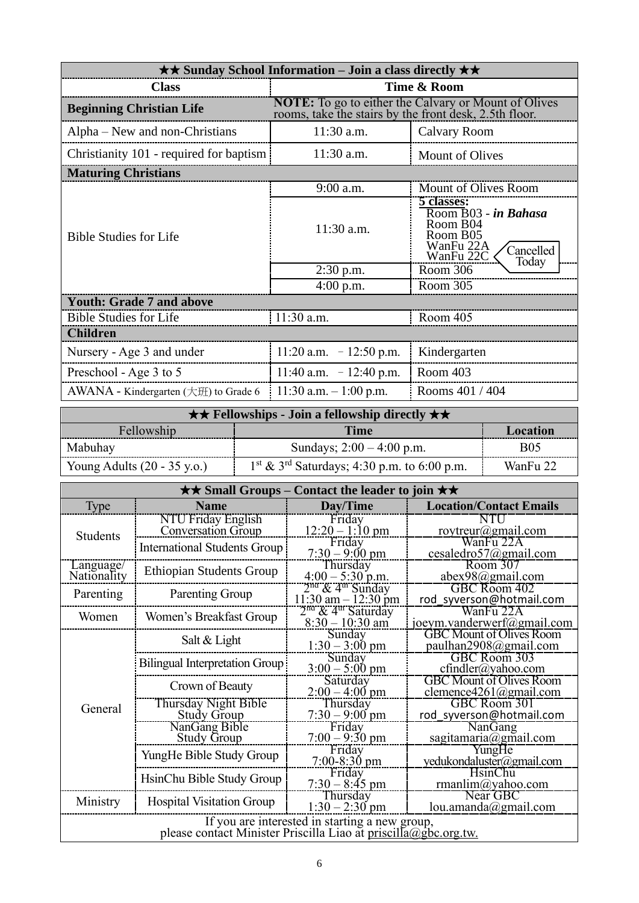| $\star\star$ Sunday School Information – Join a class directly $\star\star$ |                                                                                                                       |                                                                                                            |  |  |
|-----------------------------------------------------------------------------|-----------------------------------------------------------------------------------------------------------------------|------------------------------------------------------------------------------------------------------------|--|--|
| <b>Class</b>                                                                | Time & Room                                                                                                           |                                                                                                            |  |  |
| <b>Beginning Christian Life</b>                                             | <b>NOTE:</b> To go to either the Calvary or Mount of Olives<br>rooms, take the stairs by the front desk, 2.5th floor. |                                                                                                            |  |  |
| Alpha – New and non-Christians                                              | $11:30$ a.m.                                                                                                          | Calvary Room                                                                                               |  |  |
| Christianity 101 - required for baptism                                     | $11:30$ a.m.                                                                                                          | <b>Mount of Olives</b>                                                                                     |  |  |
| <b>Maturing Christians</b>                                                  |                                                                                                                       |                                                                                                            |  |  |
|                                                                             | 9:00 a.m.                                                                                                             | Mount of Olives Room                                                                                       |  |  |
| <b>Bible Studies for Life</b>                                               | 11:30 a.m.                                                                                                            | 5 classes:<br>Room B03 - in Bahasa<br>Room B04<br>Room B05<br>WanFu 22A<br>Cancelled<br>WanFu 22C<br>Today |  |  |
|                                                                             | $2:30$ p.m.                                                                                                           | Room 306                                                                                                   |  |  |
|                                                                             | $4:00$ p.m.                                                                                                           | Room 305                                                                                                   |  |  |
| <b>Youth: Grade 7 and above</b>                                             |                                                                                                                       |                                                                                                            |  |  |
| <b>Bible Studies for Life</b>                                               | $11:30$ a.m.                                                                                                          | Room 405                                                                                                   |  |  |
| <b>Children</b>                                                             |                                                                                                                       |                                                                                                            |  |  |
| Nursery - Age 3 and under                                                   | 11:20 a.m. $-12:50$ p.m.                                                                                              | Kindergarten                                                                                               |  |  |
| Preschool - Age 3 to 5                                                      | 11:40 a.m. $-12:40$ p.m.                                                                                              | Room 403                                                                                                   |  |  |
| AWANA - Kindergarten $(\pm \text{H})$ to Grade 6<br>11:30 a.m. $-1:00$ p.m. |                                                                                                                       | Rooms 401 / 404                                                                                            |  |  |

| $\star \star$ Fellowships - Join a fellowship directly $\star \star$ |                                                           |            |  |  |
|----------------------------------------------------------------------|-----------------------------------------------------------|------------|--|--|
| Fellowship<br>Time<br>Location                                       |                                                           |            |  |  |
| Mabuhay                                                              | Sundays; $2:00 - 4:00$ p.m.                               | <b>B05</b> |  |  |
| Young Adults $(20 - 35 \text{ y.o.})$                                | $1st$ & 3 <sup>rd</sup> Saturdays; 4:30 p.m. to 6:00 p.m. | WanFu 22   |  |  |

| $\star\star$ Small Groups – Contact the leader to join $\star\star$                                               |                                                 |                                                       |                                                           |  |
|-------------------------------------------------------------------------------------------------------------------|-------------------------------------------------|-------------------------------------------------------|-----------------------------------------------------------|--|
| <b>Type</b>                                                                                                       | <b>Name</b>                                     | Day/Time                                              | <b>Location/Contact Emails</b>                            |  |
| <b>Students</b>                                                                                                   | NTU Friday English<br><b>Conversation Group</b> | Friday<br>$12:20 - 1:10 \text{ pm}$                   | NTU<br>roytreur@gmail.com                                 |  |
|                                                                                                                   | <b>International Students Group</b>             | Friday<br>$7:30 - 9:00 \text{ pm}$                    | WanFu 22A<br>cesaledro57@gmail.com                        |  |
| Language/<br>Nationality                                                                                          | <b>Ethiopian Students Group</b>                 | Thursday<br>$4:00 - 5:30$ p.m.<br>$2nd & 4th$ Sunday  | Room 307<br>abex98@gmail.com                              |  |
| Parenting                                                                                                         | Parenting Group                                 | $11:30$ am $-12:30$ pm                                | <b>GBC Room 402</b><br>rod syverson@hotmail.com           |  |
| Women                                                                                                             | Women's Breakfast Group                         | $2na$ & 4 <sup>th</sup> Saturday<br>$8:30 - 10:30$ am | WanFu 22A<br>joeym.vanderwerf@gmail.com                   |  |
|                                                                                                                   | Salt & Light                                    | Sunday<br>$1:30 - 3:00$ pm                            | <b>GBC Mount of Olives Room</b><br>paulhan2908@gmail.com  |  |
|                                                                                                                   | <b>Bilingual Interpretation Group</b>           | Sunday<br>$3:00 - 5:00$ pm                            | <b>GBC Room 303</b><br>$cfindler(a)$ yahoo.com            |  |
|                                                                                                                   | Crown of Beauty                                 | Saturday<br>$2:00 - 4:00$ pm                          | <b>GBC Mount of Olives Room</b><br>clemence4261@gmail.com |  |
| General                                                                                                           | Thursday Night Bible<br><b>Study Group</b>      | Thursday<br>$7:30 - 9:00$ pm                          | GBC Room 301<br>rod_syverson@hotmail.com                  |  |
|                                                                                                                   | NanGang Bible<br><b>Study Group</b>             | Friday<br>$7:00 - 9:30$ pm                            | <b>NanGang</b><br>sagitamaria@gmail.com                   |  |
|                                                                                                                   | YungHe Bible Study Group                        | Friday<br>$7:00-8:30$ pm                              | YungHe<br>yedukondaluster@gmail.com                       |  |
|                                                                                                                   | HsinChu Bible Study Group                       | Friday<br>$7:30 - 8:45$ pm                            | <b>HsinChu</b><br>rmanlim@yahoo.com                       |  |
| Ministry                                                                                                          | <b>Hospital Visitation Group</b>                | Thursday<br>$1:30 - 2:30$ pm                          | Near GBC<br>lou.amanda@gmail.com                          |  |
| If you are interested in starting a new group,<br>please contact Minister Priscilla Liao at priscilla@gbc.org.tw. |                                                 |                                                       |                                                           |  |